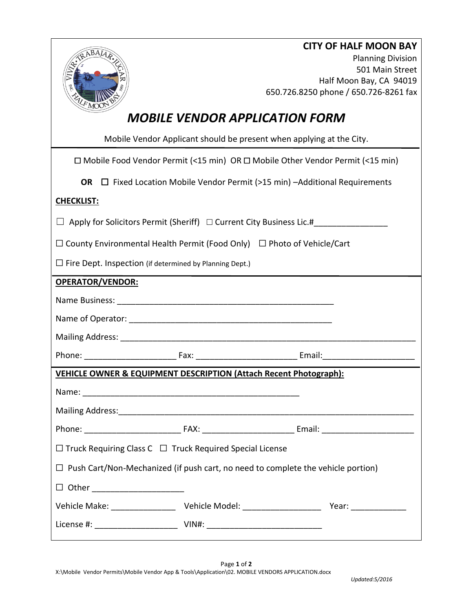| RABAJAP                                                                                 |                                                                                           | <b>CITY OF HALF MOON BAY</b><br><b>Planning Division</b><br>501 Main Street<br>Half Moon Bay, CA 94019 |  |
|-----------------------------------------------------------------------------------------|-------------------------------------------------------------------------------------------|--------------------------------------------------------------------------------------------------------|--|
|                                                                                         |                                                                                           | 650.726.8250 phone / 650.726-8261 fax                                                                  |  |
| <b>MOBILE VENDOR APPLICATION FORM</b>                                                   |                                                                                           |                                                                                                        |  |
| Mobile Vendor Applicant should be present when applying at the City.                    |                                                                                           |                                                                                                        |  |
|                                                                                         | $\Box$ Mobile Food Vendor Permit (<15 min) OR $\Box$ Mobile Other Vendor Permit (<15 min) |                                                                                                        |  |
|                                                                                         | <b>OR</b> $\Box$ Fixed Location Mobile Vendor Permit (>15 min) -Additional Requirements   |                                                                                                        |  |
| <b>CHECKLIST:</b>                                                                       |                                                                                           |                                                                                                        |  |
| Apply for Solicitors Permit (Sheriff) $\Box$ Current City Business Lic.#                |                                                                                           |                                                                                                        |  |
| $\Box$ County Environmental Health Permit (Food Only) $\Box$ Photo of Vehicle/Cart      |                                                                                           |                                                                                                        |  |
| $\Box$ Fire Dept. Inspection (if determined by Planning Dept.)                          |                                                                                           |                                                                                                        |  |
| <b>OPERATOR/VENDOR:</b>                                                                 |                                                                                           |                                                                                                        |  |
|                                                                                         |                                                                                           |                                                                                                        |  |
|                                                                                         |                                                                                           |                                                                                                        |  |
|                                                                                         |                                                                                           |                                                                                                        |  |
|                                                                                         |                                                                                           |                                                                                                        |  |
| <b>VEHICLE OWNER &amp; EQUIPMENT DESCRIPTION (Attach Recent Photograph):</b>            |                                                                                           |                                                                                                        |  |
|                                                                                         |                                                                                           |                                                                                                        |  |
|                                                                                         |                                                                                           |                                                                                                        |  |
|                                                                                         |                                                                                           |                                                                                                        |  |
| $\Box$ Truck Requiring Class C $\Box$ Truck Required Special License                    |                                                                                           |                                                                                                        |  |
| $\Box$ Push Cart/Non-Mechanized (if push cart, no need to complete the vehicle portion) |                                                                                           |                                                                                                        |  |
| $\Box$ Other ________________________                                                   |                                                                                           |                                                                                                        |  |
|                                                                                         |                                                                                           | Year: _______________                                                                                  |  |
|                                                                                         |                                                                                           |                                                                                                        |  |